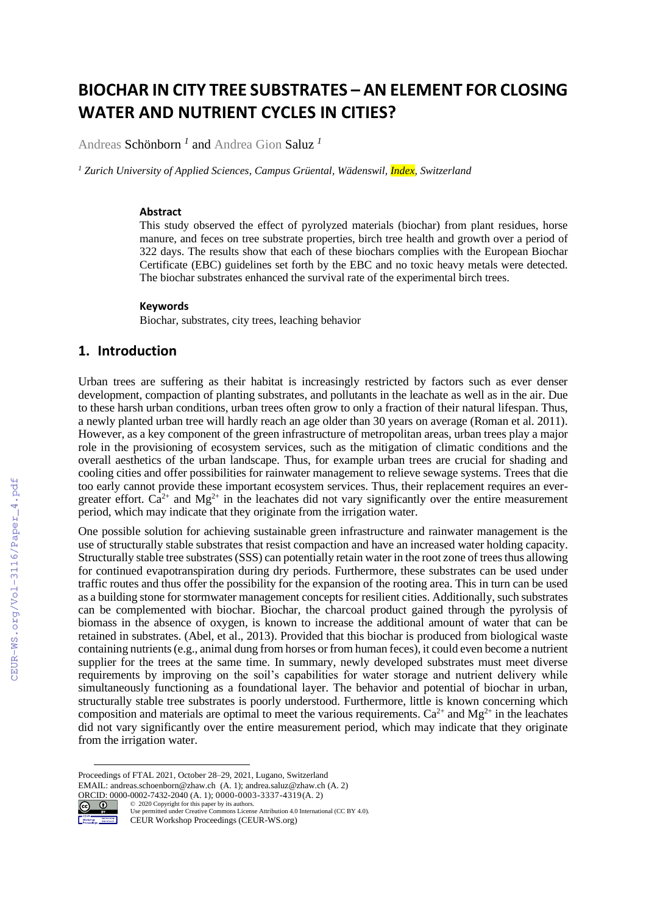# **BIOCHAR IN CITY TREE SUBSTRATES – AN ELEMENT FOR CLOSING WATER AND NUTRIENT CYCLES IN CITIES?**

Andreas Schönborn *<sup>1</sup>* and Andrea Gion Saluz *<sup>1</sup>*

*<sup>1</sup> Zurich University of Applied Sciences, Campus Grüental, Wädenswil, Index, Switzerland*

#### **Abstract**

This study observed the effect of pyrolyzed materials (biochar) from plant residues, horse manure, and feces on tree substrate properties, birch tree health and growth over a period of 322 days. The results show that each of these biochars complies with the European Biochar Certificate (EBC) guidelines set forth by the EBC and no toxic heavy metals were detected. The biochar substrates enhanced the survival rate of the experimental birch trees.

#### **Keywords**

Biochar, substrates, city trees, leaching behavior

# **1. Introduction**

Urban trees are suffering as their habitat is increasingly restricted by factors such as ever denser development, compaction of planting substrates, and pollutants in the leachate as well as in the air. Due to these harsh urban conditions, urban trees often grow to only a fraction of their natural lifespan. Thus, a newly planted urban tree will hardly reach an age older than 30 years on average (Roman et al. 2011). However, as a key component of the green infrastructure of metropolitan areas, urban trees play a major role in the provisioning of ecosystem services, such as the mitigation of climatic conditions and the overall aesthetics of the urban landscape. Thus, for example urban trees are crucial for shading and cooling cities and offer possibilities for rainwater management to relieve sewage systems. Trees that die too early cannot provide these important ecosystem services. Thus, their replacement requires an evergreater effort.  $Ca^{2+}$  and  $Mg^{2+}$  in the leachates did not vary significantly over the entire measurement period, which may indicate that they originate from the irrigation water.

One possible solution for achieving sustainable green infrastructure and rainwater management is the use of structurally stable substrates that resist compaction and have an increased water holding capacity. Structurally stable tree substrates (SSS) can potentially retain water in the root zone of trees thus allowing for continued evapotranspiration during dry periods. Furthermore, these substrates can be used under traffic routes and thus offer the possibility for the expansion of the rooting area. This in turn can be used as a building stone for stormwater management concepts for resilient cities. Additionally, such substrates can be complemented with biochar. Biochar, the charcoal product gained through the pyrolysis of biomass in the absence of oxygen, is known to increase the additional amount of water that can be retained in substrates. (Abel, et al., 2013). Provided that this biochar is produced from biological waste containing nutrients (e.g., animal dung from horses or from human feces), it could even become a nutrient supplier for the trees at the same time. In summary, newly developed substrates must meet diverse requirements by improving on the soil's capabilities for water storage and nutrient delivery while simultaneously functioning as a foundational layer. The behavior and potential of biochar in urban, structurally stable tree substrates is poorly understood. Furthermore, little is known concerning which composition and materials are optimal to meet the various requirements.  $Ca^{2+}$  and  $Mg^{2+}$  in the leachates did not vary significantly over the entire measurement period, which may indicate that they originate from the irrigation water.

Proceedings of FTAL 2021, October 28–29, 2021, Lugano, Switzerland

EMAIL: andreas.schoenborn@zhaw.ch (A. 1); andrea.saluz@zhaw.ch (A. 2) ORCID:  $0000-0002-7432-2040$  (A. 1);  $0000-0003-3337-4319$  (A. 2)<br>  $\odot$   $\odot$   $\odot$   $\odot$   $\odot$   $\odot$   $\odot$   $\odot$   $\odot$   $\odot$   $\odot$   $\odot$   $\odot$   $\odot$   $\odot$   $\odot$   $\odot$   $\odot$   $\odot$   $\odot$   $\odot$   $\odot$   $\odot$   $\odot$   $\odot$   $\odot$ 



<sup>©️</sup> 2020 Copyright for this paper by its authors. Use permitted under Creative Commons License Attribution 4.0 International (CC BY 4.0). CEUR Workshop Proceedings (CEUR-WS.org)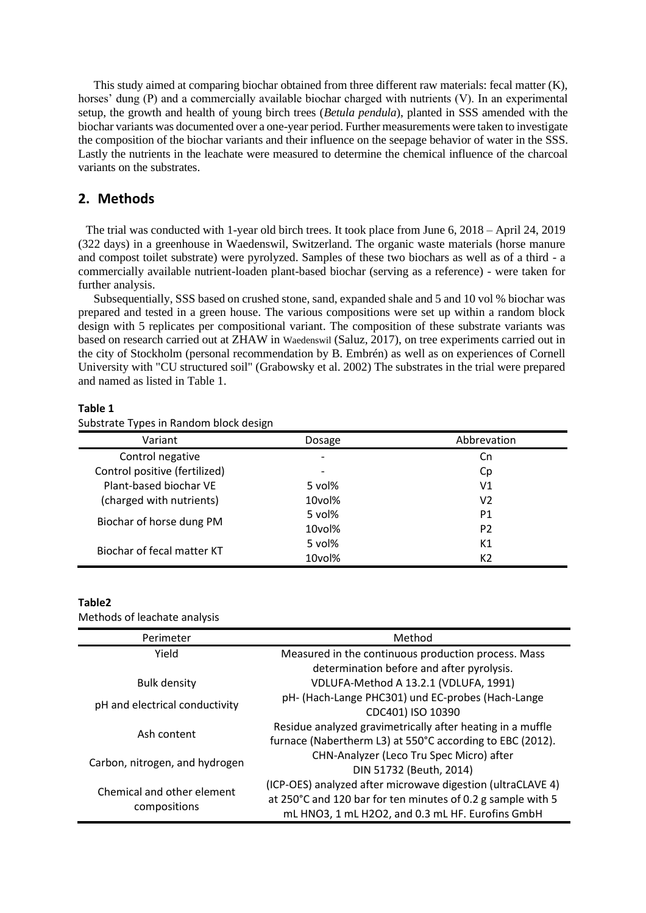This study aimed at comparing biochar obtained from three different raw materials: fecal matter (K), horses' dung (P) and a commercially available biochar charged with nutrients (V). In an experimental setup, the growth and health of young birch trees (*Betula pendula*), planted in SSS amended with the biochar variants was documented over a one-year period. Further measurements were taken to investigate the composition of the biochar variants and their influence on the seepage behavior of water in the SSS. Lastly the nutrients in the leachate were measured to determine the chemical influence of the charcoal variants on the substrates.

# **2. Methods**

The trial was conducted with 1-year old birch trees. It took place from June 6, 2018 – April 24, 2019 (322 days) in a greenhouse in Waedenswil, Switzerland. The organic waste materials (horse manure and compost toilet substrate) were pyrolyzed. Samples of these two biochars as well as of a third - a commercially available nutrient-loaden plant-based biochar (serving as a reference) - were taken for further analysis.

Subsequentially, SSS based on crushed stone, sand, expanded shale and 5 and 10 vol % biochar was prepared and tested in a green house. The various compositions were set up within a random block design with 5 replicates per compositional variant. The composition of these substrate variants was based on research carried out at ZHAW in Waedenswil (Saluz, 2017), on tree experiments carried out in the city of Stockholm (personal recommendation by B. Embrén) as well as on experiences of Cornell University with "CU structured soil" (Grabowsky et al. 2002) The substrates in the trial were prepared and named as listed in Table 1.

#### **Table 1**

| . .                           | ັ        |                |
|-------------------------------|----------|----------------|
| Variant                       | Dosage   | Abbrevation    |
| Control negative              |          | Cn             |
| Control positive (fertilized) |          | Cp             |
| Plant-based biochar VE        | 5 $vol%$ | V1             |
| (charged with nutrients)      | 10vol%   | V2             |
| Biochar of horse dung PM      | 5 vol%   | P1             |
|                               | 10vol%   | P <sub>2</sub> |
| Biochar of fecal matter KT    | 5 $vol%$ | K1             |
|                               | 10vol%   | K <sub>2</sub> |

Substrate Types in Random block design

#### **Table2**

Methods of leachate analysis

| Perimeter                      | Method                                                      |  |
|--------------------------------|-------------------------------------------------------------|--|
| Yield                          | Measured in the continuous production process. Mass         |  |
|                                | determination before and after pyrolysis.                   |  |
| <b>Bulk density</b>            | VDLUFA-Method A 13.2.1 (VDLUFA, 1991)                       |  |
| pH and electrical conductivity | pH- (Hach-Lange PHC301) und EC-probes (Hach-Lange           |  |
|                                | CDC401) ISO 10390                                           |  |
| Ash content                    | Residue analyzed gravimetrically after heating in a muffle  |  |
|                                | furnace (Nabertherm L3) at 550°C according to EBC (2012).   |  |
| Carbon, nitrogen, and hydrogen | CHN-Analyzer (Leco Tru Spec Micro) after                    |  |
|                                | DIN 51732 (Beuth, 2014)                                     |  |
| Chemical and other element     | (ICP-OES) analyzed after microwave digestion (ultraCLAVE 4) |  |
|                                | at 250°C and 120 bar for ten minutes of 0.2 g sample with 5 |  |
| compositions                   | mL HNO3, 1 mL H2O2, and 0.3 mL HF. Eurofins GmbH            |  |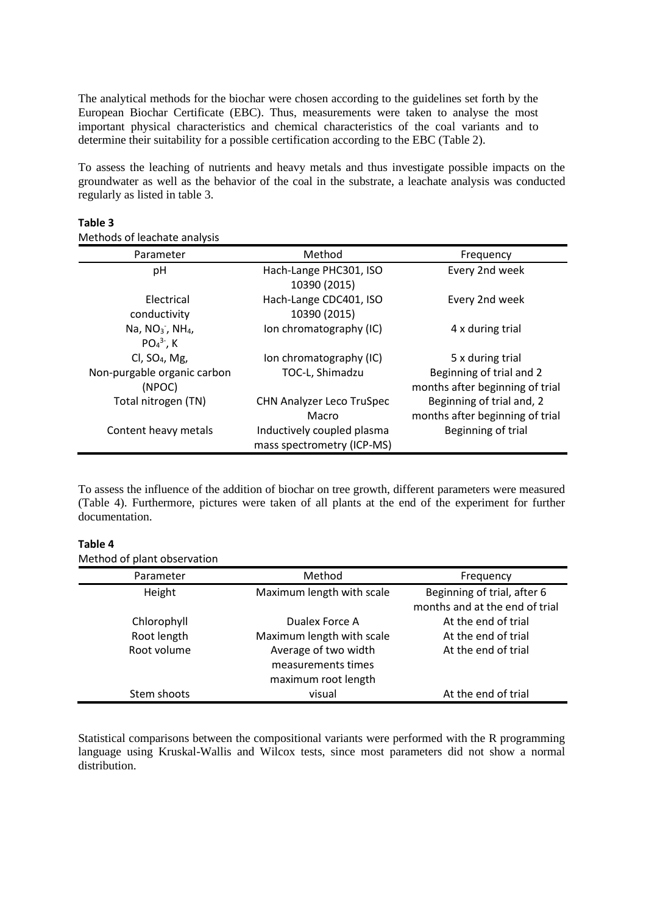The analytical methods for the biochar were chosen according to the guidelines set forth by the European Biochar Certificate (EBC). Thus, measurements were taken to analyse the most important physical characteristics and chemical characteristics of the coal variants and to determine their suitability for a possible certification according to the EBC (Table 2).

To assess the leaching of nutrients and heavy metals and thus investigate possible impacts on the groundwater as well as the behavior of the coal in the substrate, a leachate analysis was conducted regularly as listed in table 3.

| Parameter                     | Method                     | Frequency                       |
|-------------------------------|----------------------------|---------------------------------|
| pH                            | Hach-Lange PHC301, ISO     | Every 2nd week                  |
|                               | 10390 (2015)               |                                 |
| Electrical                    | Hach-Lange CDC401, ISO     | Every 2nd week                  |
| conductivity                  | 10390 (2015)               |                                 |
| Na, $NO3$ , NH <sub>4</sub> , | Ion chromatography (IC)    | 4 x during trial                |
| $PO43$ , K                    |                            |                                 |
| Cl, $SO4$ , Mg,               | Ion chromatography (IC)    | 5 x during trial                |
| Non-purgable organic carbon   | TOC-L, Shimadzu            | Beginning of trial and 2        |
| (NPOC)                        |                            | months after beginning of trial |
| Total nitrogen (TN)           | CHN Analyzer Leco TruSpec  | Beginning of trial and, 2       |
|                               | Macro                      | months after beginning of trial |
| Content heavy metals          | Inductively coupled plasma | Beginning of trial              |
|                               | mass spectrometry (ICP-MS) |                                 |

#### **Table 3**

Methods of leachate analysis

To assess the influence of the addition of biochar on tree growth, different parameters were measured (Table 4). Furthermore, pictures were taken of all plants at the end of the experiment for further documentation.

#### **Table 4**

Method of plant observation

| Parameter   | Method                                     | Frequency                                                     |
|-------------|--------------------------------------------|---------------------------------------------------------------|
| Height      | Maximum length with scale                  | Beginning of trial, after 6<br>months and at the end of trial |
| Chlorophyll | Dualex Force A                             | At the end of trial                                           |
| Root length | Maximum length with scale                  | At the end of trial                                           |
| Root volume | Average of two width<br>measurements times | At the end of trial                                           |
| Stem shoots | maximum root length<br>visual              | At the end of trial                                           |

Statistical comparisons between the compositional variants were performed with the R programming language using Kruskal-Wallis and Wilcox tests, since most parameters did not show a normal distribution.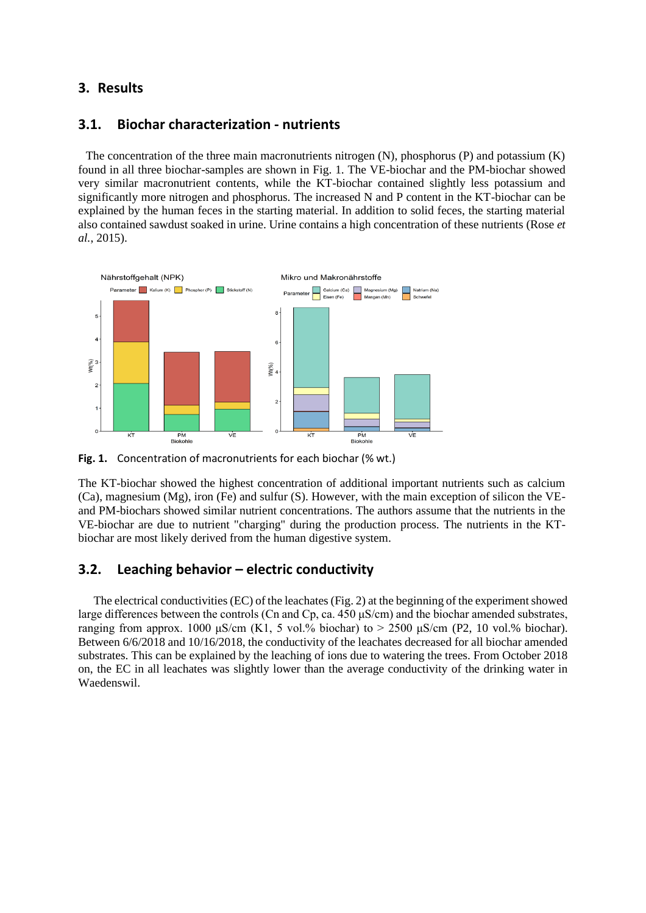# **3. Results**

### **3.1. Biochar characterization - nutrients**

The concentration of the three main macronutrients nitrogen  $(N)$ , phosphorus  $(P)$  and potassium  $(K)$ found in all three biochar-samples are shown in Fig. 1. The VE-biochar and the PM-biochar showed very similar macronutrient contents, while the KT-biochar contained slightly less potassium and significantly more nitrogen and phosphorus. The increased N and P content in the KT-biochar can be explained by the human feces in the starting material. In addition to solid feces, the starting material also contained sawdust soaked in urine. Urine contains a high concentration of these nutrients (Rose *et al.*, 2015).



**Fig. 1.** Concentration of macronutrients for each biochar (% wt.)

The KT-biochar showed the highest concentration of additional important nutrients such as calcium (Ca), magnesium (Mg), iron (Fe) and sulfur (S). However, with the main exception of silicon the VEand PM-biochars showed similar nutrient concentrations. The authors assume that the nutrients in the VE-biochar are due to nutrient "charging" during the production process. The nutrients in the KTbiochar are most likely derived from the human digestive system.

### **3.2. Leaching behavior – electric conductivity**

The electrical conductivities (EC) of the leachates (Fig. 2) at the beginning of the experiment showed large differences between the controls (Cn and Cp, ca. 450 μS/cm) and the biochar amended substrates, ranging from approx. 1000 μS/cm (K1, 5 vol.% biochar) to  $> 2500$  μS/cm (P2, 10 vol.% biochar). Between 6/6/2018 and 10/16/2018, the conductivity of the leachates decreased for all biochar amended substrates. This can be explained by the leaching of ions due to watering the trees. From October 2018 on, the EC in all leachates was slightly lower than the average conductivity of the drinking water in Waedenswil.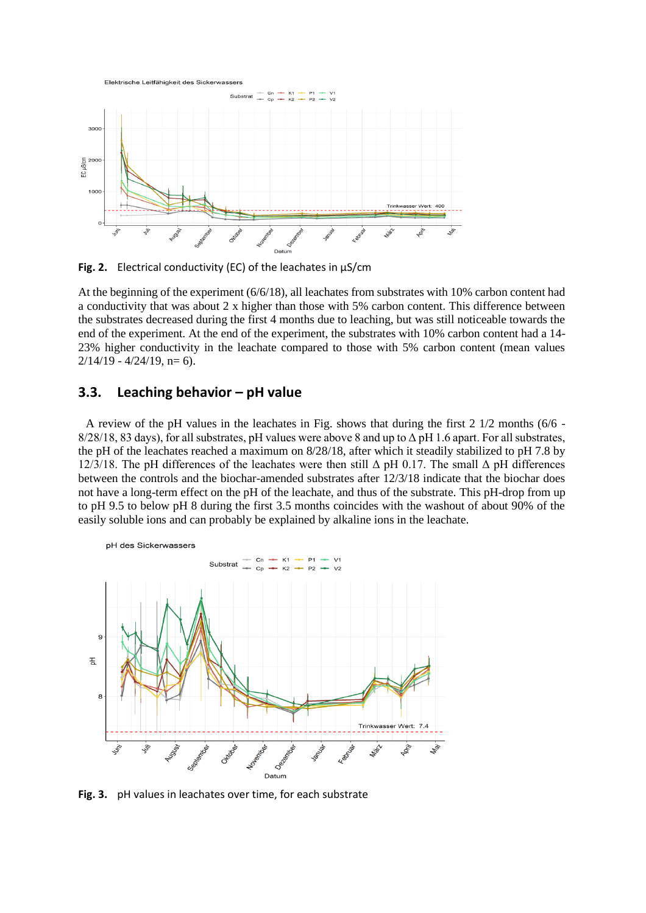

**Fig. 2.** Electrical conductivity (EC) of the leachates in µS/cm

At the beginning of the experiment (6/6/18), all leachates from substrates with 10% carbon content had a conductivity that was about 2 x higher than those with 5% carbon content. This difference between the substrates decreased during the first 4 months due to leaching, but was still noticeable towards the end of the experiment. At the end of the experiment, the substrates with 10% carbon content had a 14- 23% higher conductivity in the leachate compared to those with 5% carbon content (mean values  $2/14/19 - 4/24/19$ , n= 6).

# **3.3. Leaching behavior – pH value**

A review of the pH values in the leachates in Fig. shows that during the first 2 1/2 months (6/6 -  $8/28/18$ , 83 days), for all substrates, pH values were above 8 and up to  $\Delta$  pH 1.6 apart. For all substrates, the pH of the leachates reached a maximum on 8/28/18, after which it steadily stabilized to pH 7.8 by 12/3/18. The pH differences of the leachates were then still  $\Delta$  pH 0.17. The small  $\Delta$  pH differences between the controls and the biochar-amended substrates after 12/3/18 indicate that the biochar does not have a long-term effect on the pH of the leachate, and thus of the substrate. This pH-drop from up to pH 9.5 to below pH 8 during the first 3.5 months coincides with the washout of about 90% of the easily soluble ions and can probably be explained by alkaline ions in the leachate.



**Fig. 3.** pH values in leachates over time, for each substrate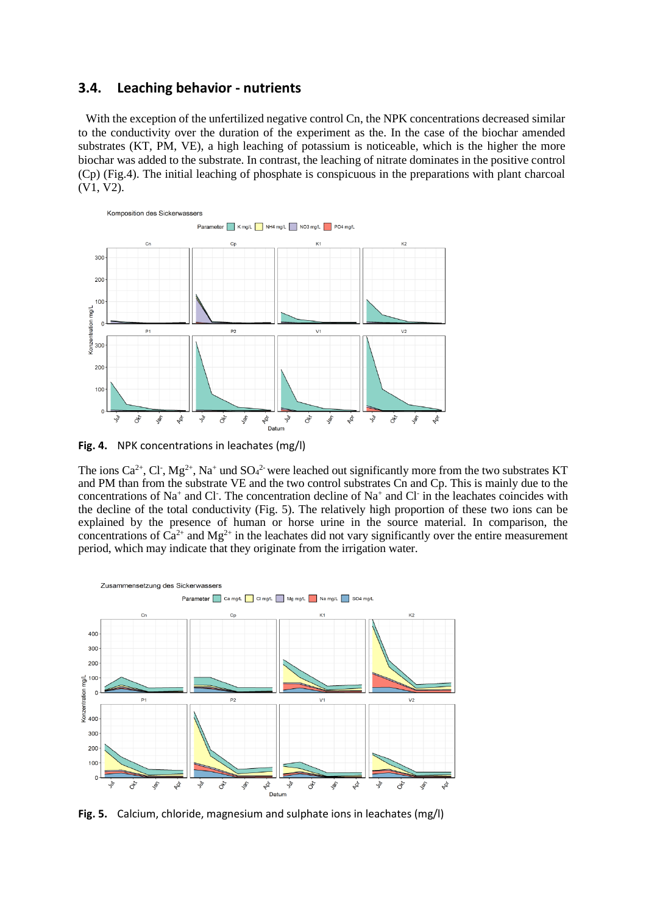### **3.4. Leaching behavior - nutrients**

With the exception of the unfertilized negative control Cn, the NPK concentrations decreased similar to the conductivity over the duration of the experiment as the. In the case of the biochar amended substrates (KT, PM, VE), a high leaching of potassium is noticeable, which is the higher the more biochar was added to the substrate. In contrast, the leaching of nitrate dominates in the positive control (Cp) (Fig.4). The initial leaching of phosphate is conspicuous in the preparations with plant charcoal (V1, V2).



**Fig. 4.** NPK concentrations in leachates (mg/l)

The ions Ca<sup>2+</sup>, Cl<sup>-</sup>, Mg<sup>2+</sup>, Na<sup>+</sup> und SO<sub>4</sub><sup>2-</sup> were leached out significantly more from the two substrates KT and PM than from the substrate VE and the two control substrates Cn and Cp. This is mainly due to the concentrations of Na<sup>+</sup> and Cl<sup>-</sup>. The concentration decline of Na<sup>+</sup> and Cl<sup>-</sup> in the leachates coincides with the decline of the total conductivity (Fig. 5). The relatively high proportion of these two ions can be explained by the presence of human or horse urine in the source material. In comparison, the concentrations of  $\tilde{Ca}^{2+}$  and  $Mg^{2+}$  in the leachates did not vary significantly over the entire measurement period, which may indicate that they originate from the irrigation water.



**Fig. 5.** Calcium, chloride, magnesium and sulphate ions in leachates (mg/l)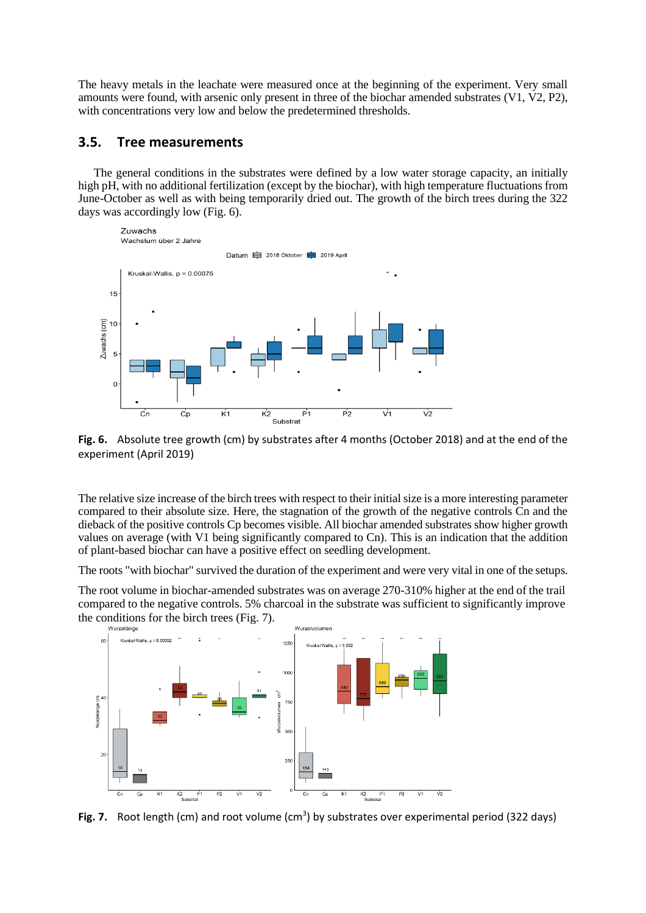The heavy metals in the leachate were measured once at the beginning of the experiment. Very small amounts were found, with arsenic only present in three of the biochar amended substrates (V1, V2, P2), with concentrations very low and below the predetermined thresholds.

# **3.5. Tree measurements**

The general conditions in the substrates were defined by a low water storage capacity, an initially high pH, with no additional fertilization (except by the biochar), with high temperature fluctuations from June-October as well as with being temporarily dried out. The growth of the birch trees during the 322 days was accordingly low (Fig. 6).





The relative size increase of the birch trees with respect to their initial size is a more interesting parameter compared to their absolute size. Here, the stagnation of the growth of the negative controls Cn and the dieback of the positive controls Cp becomes visible. All biochar amended substrates show higher growth values on average (with V1 being significantly compared to Cn). This is an indication that the addition of plant-based biochar can have a positive effect on seedling development.

The roots "with biochar" survived the duration of the experiment and were very vital in one of the setups.

The root volume in biochar-amended substrates was on average 270-310% higher at the end of the trail compared to the negative controls. 5% charcoal in the substrate was sufficient to significantly improve the conditions for the birch trees (Fig. 7).



Fig. 7. Root length (cm) and root volume (cm<sup>3</sup>) by substrates over experimental period (322 days)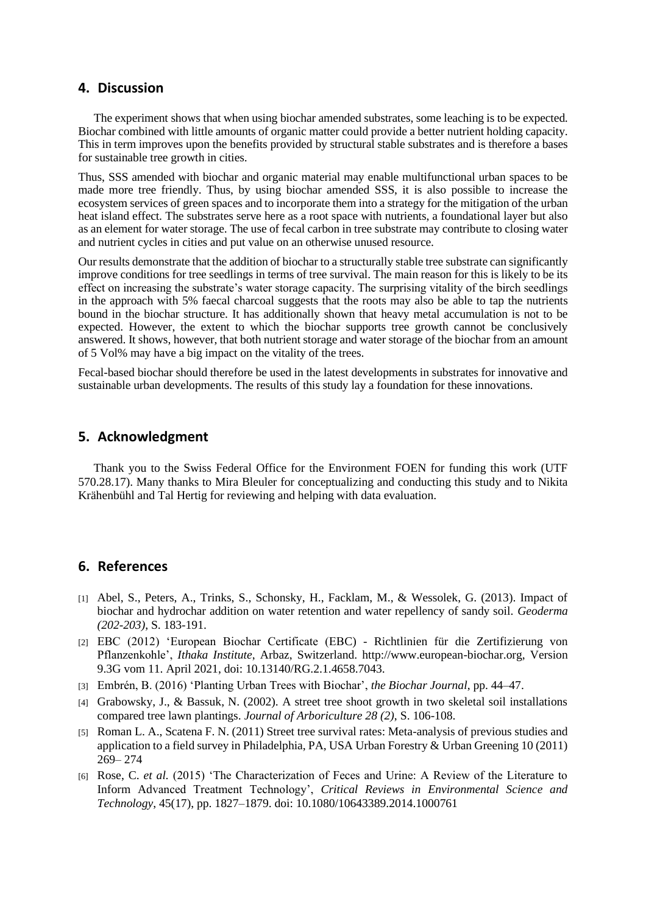#### **4. Discussion**

The experiment shows that when using biochar amended substrates, some leaching is to be expected. Biochar combined with little amounts of organic matter could provide a better nutrient holding capacity. This in term improves upon the benefits provided by structural stable substrates and is therefore a bases for sustainable tree growth in cities.

Thus, SSS amended with biochar and organic material may enable multifunctional urban spaces to be made more tree friendly. Thus, by using biochar amended SSS, it is also possible to increase the ecosystem services of green spaces and to incorporate them into a strategy for the mitigation of the urban heat island effect. The substrates serve here as a root space with nutrients, a foundational layer but also as an element for water storage. The use of fecal carbon in tree substrate may contribute to closing water and nutrient cycles in cities and put value on an otherwise unused resource.

Our results demonstrate that the addition of biochar to a structurally stable tree substrate can significantly improve conditions for tree seedlings in terms of tree survival. The main reason for this is likely to be its effect on increasing the substrate's water storage capacity. The surprising vitality of the birch seedlings in the approach with 5% faecal charcoal suggests that the roots may also be able to tap the nutrients bound in the biochar structure. It has additionally shown that heavy metal accumulation is not to be expected. However, the extent to which the biochar supports tree growth cannot be conclusively answered. It shows, however, that both nutrient storage and water storage of the biochar from an amount of 5 Vol% may have a big impact on the vitality of the trees.

Fecal-based biochar should therefore be used in the latest developments in substrates for innovative and sustainable urban developments. The results of this study lay a foundation for these innovations.

### **5. Acknowledgment**

Thank you to the Swiss Federal Office for the Environment FOEN for funding this work (UTF 570.28.17). Many thanks to Mira Bleuler for conceptualizing and conducting this study and to Nikita Krähenbühl and Tal Hertig for reviewing and helping with data evaluation.

## **6. References**

- [1] Abel, S., Peters, A., Trinks, S., Schonsky, H., Facklam, M., & Wessolek, G. (2013). Impact of biochar and hydrochar addition on water retention and water repellency of sandy soil. *Geoderma (202-203)*, S. 183-191.
- [2] EBC (2012) 'European Biochar Certificate (EBC) Richtlinien für die Zertifizierung von Pflanzenkohle', *Ithaka Institute*, Arbaz, Switzerland. http://www.european-biochar.org, Version 9.3G vom 11. April 2021, doi: 10.13140/RG.2.1.4658.7043.
- [3] Embrén, B. (2016) 'Planting Urban Trees with Biochar', *the Biochar Journal*, pp. 44–47.
- [4] Grabowsky, J., & Bassuk, N. (2002). A street tree shoot growth in two skeletal soil installations compared tree lawn plantings. *Journal of Arboriculture 28 (2)*, S. 106-108.
- [5] Roman L. A., Scatena F. N. (2011) Street tree survival rates: Meta-analysis of previous studies and application to a field survey in Philadelphia, PA, USA Urban Forestry & Urban Greening 10 (2011) 269– 274
- [6] Rose, C. *et al.* (2015) 'The Characterization of Feces and Urine: A Review of the Literature to Inform Advanced Treatment Technology', *Critical Reviews in Environmental Science and Technology*, 45(17), pp. 1827–1879. doi: 10.1080/10643389.2014.1000761